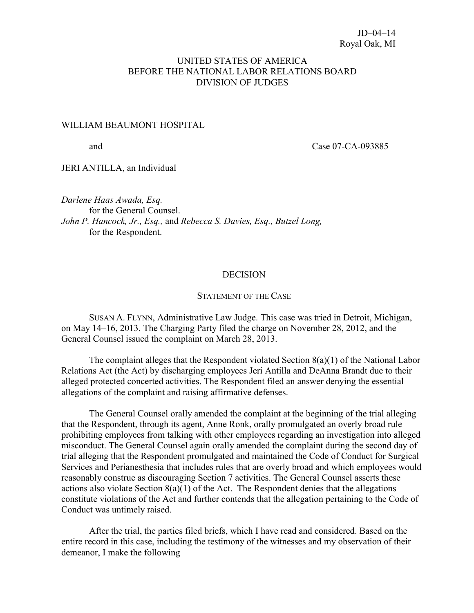## UNITED STATES OF AMERICA BEFORE THE NATIONAL LABOR RELATIONS BOARD DIVISION OF JUDGES

#### WILLIAM BEAUMONT HOSPITAL

and Case 07-CA-093885

JERI ANTILLA, an Individual

*Darlene Haas Awada, Esq.* for the General Counsel. *John P. Hancock, Jr., Esq.,* and *Rebecca S. Davies, Esq., Butzel Long,* for the Respondent.

### **DECISION**

#### STATEMENT OF THE CASE

SUSAN A. FLYNN, Administrative Law Judge. This case was tried in Detroit, Michigan, on May 14–16, 2013. The Charging Party filed the charge on November 28, 2012, and the General Counsel issued the complaint on March 28, 2013.

The complaint alleges that the Respondent violated Section  $8(a)(1)$  of the National Labor Relations Act (the Act) by discharging employees Jeri Antilla and DeAnna Brandt due to their alleged protected concerted activities. The Respondent filed an answer denying the essential allegations of the complaint and raising affirmative defenses.

The General Counsel orally amended the complaint at the beginning of the trial alleging that the Respondent, through its agent, Anne Ronk, orally promulgated an overly broad rule prohibiting employees from talking with other employees regarding an investigation into alleged misconduct. The General Counsel again orally amended the complaint during the second day of trial alleging that the Respondent promulgated and maintained the Code of Conduct for Surgical Services and Perianesthesia that includes rules that are overly broad and which employees would reasonably construe as discouraging Section 7 activities. The General Counsel asserts these actions also violate Section  $8(a)(1)$  of the Act. The Respondent denies that the allegations constitute violations of the Act and further contends that the allegation pertaining to the Code of Conduct was untimely raised.

After the trial, the parties filed briefs, which I have read and considered. Based on the entire record in this case, including the testimony of the witnesses and my observation of their demeanor, I make the following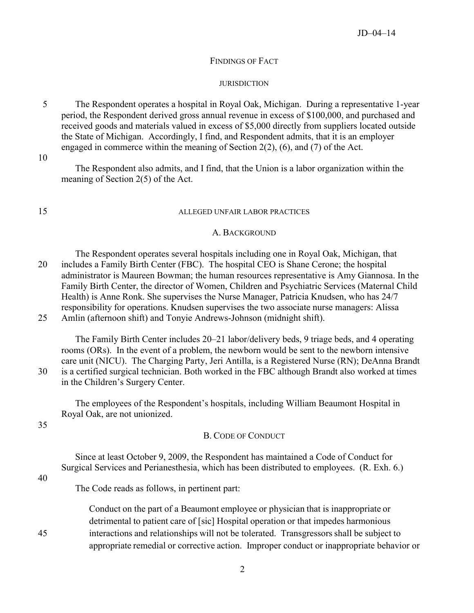#### FINDINGS OF FACT

#### **JURISDICTION**

5 The Respondent operates a hospital in Royal Oak, Michigan. During a representative 1-year period, the Respondent derived gross annual revenue in excess of \$100,000, and purchased and received goods and materials valued in excess of \$5,000 directly from suppliers located outside the State of Michigan. Accordingly, I find, and Respondent admits, that it is an employer engaged in commerce within the meaning of Section 2(2), (6), and (7) of the Act.

10

The Respondent also admits, and I find, that the Union is a labor organization within the meaning of Section 2(5) of the Act.

#### 15 ALLEGED UNFAIR LABOR PRACTICES

#### A. BACKGROUND

The Respondent operates several hospitals including one in Royal Oak, Michigan, that 20 includes a Family Birth Center (FBC). The hospital CEO is Shane Cerone; the hospital administrator is Maureen Bowman; the human resources representative is Amy Giannosa. In the Family Birth Center, the director of Women, Children and Psychiatric Services (Maternal Child Health) is Anne Ronk. She supervises the Nurse Manager, Patricia Knudsen, who has 24/7 responsibility for operations. Knudsen supervises the two associate nurse managers: Alissa 25 Amlin (afternoon shift) and Tonyie Andrews-Johnson (midnight shift).

The Family Birth Center includes 20–21 labor/delivery beds, 9 triage beds, and 4 operating rooms (ORs). In the event of a problem, the newborn would be sent to the newborn intensive care unit (NICU). The Charging Party, Jeri Antilla, is a Registered Nurse (RN); DeAnna Brandt 30 is a certified surgical technician. Both worked in the FBC although Brandt also worked at times in the Children's Surgery Center.

The employees of the Respondent's hospitals, including William Beaumont Hospital in Royal Oak, are not unionized.

35

### B. CODE OF CONDUCT

Since at least October 9, 2009, the Respondent has maintained a Code of Conduct for Surgical Services and Perianesthesia, which has been distributed to employees. (R. Exh. 6.)

40

The Code reads as follows, in pertinent part:

Conduct on the part of a Beaumont employee or physician that is inappropriate or detrimental to patient care of [sic] Hospital operation or that impedes harmonious 45 interactions and relationships will not be tolerated. Transgressors shall be subject to appropriate remedial or corrective action. Improper conduct or inappropriate behavior or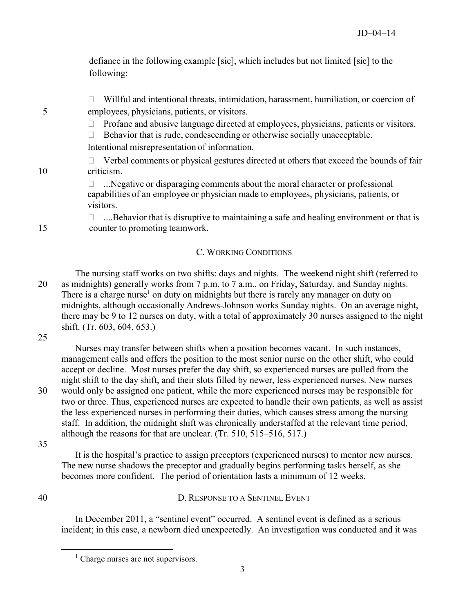defiance in the following example [sic], which includes but not limited [sic] to the following:

 $\Box$  Willful and intentional threats, intimidation, harassment, humiliation, or coercion of 5 employees, physicians, patients, or visitors.

 $\Box$  Profane and abusive language directed at employees, physicians, patients or visitors.

 $\Box$  Behavior that is rude, condescending or otherwise socially unacceptable. Intentional misrepresentation of information.

 $\Box$  Verbal comments or physical gestures directed at others that exceed the bounds of fair 10 criticism.

> $\Box$  .... Negative or disparaging comments about the moral character or professional capabilities of an employee or physician made to employees, physicians, patients, or visitors.

 $\Box$  ....Behavior that is disruptive to maintaining a safe and healing environment or that is 15 counter to promoting teamwork.

# C. WORKING CONDITIONS

The nursing staff works on two shifts: days and nights. The weekend night shift (referred to 20 as midnights) generally works from 7 p.m. to 7 a.m., on Friday, Saturday, and Sunday nights. There is a charge nurse<sup>[1](#page-2-0)</sup> on duty on midnights but there is rarely any manager on duty on midnights, although occasionally Andrews-Johnson works Sunday nights. On an average night, there may be 9 to 12 nurses on duty, with a total of approximately 30 nurses assigned to the night shift. (Tr. 603, 604, 653.)

25

Nurses may transfer between shifts when a position becomes vacant. In such instances, management calls and offers the position to the most senior nurse on the other shift, who could accept or decline. Most nurses prefer the day shift, so experienced nurses are pulled from the night shift to the day shift, and their slots filled by newer, less experienced nurses. New nurses 30 would only be assigned one patient, while the more experienced nurses may be responsible for two or three. Thus, experienced nurses are expected to handle their own patients, as well as assist the less experienced nurses in performing their duties, which causes stress among the nursing staff. In addition, the midnight shift was chronically understaffed at the relevant time period, although the reasons for that are unclear. (Tr. 510, 515–516, 517.)

35

<span id="page-2-0"></span> $\overline{a}$ 

It is the hospital's practice to assign preceptors (experienced nurses) to mentor new nurses. The new nurse shadows the preceptor and gradually begins performing tasks herself, as she becomes more confident. The period of orientation lasts a minimum of 12 weeks.

## 40 D. RESPONSE TO A SENTINEL EVENT

In December 2011, a "sentinel event" occurred. A sentinel event is defined as a serious incident; in this case, a newborn died unexpectedly. An investigation was conducted and it was

 $<sup>1</sup>$  Charge nurses are not supervisors.</sup>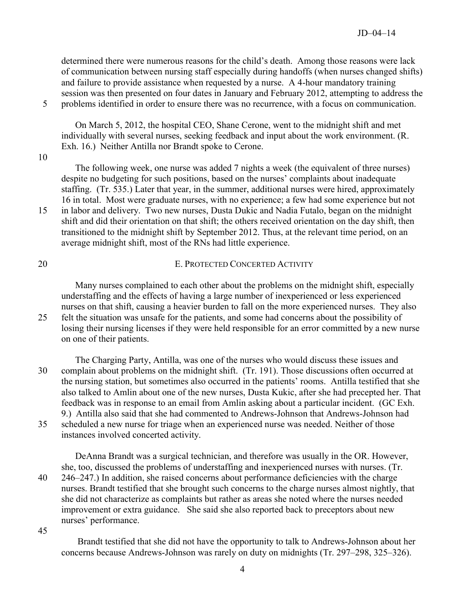determined there were numerous reasons for the child's death. Among those reasons were lack of communication between nursing staff especially during handoffs (when nurses changed shifts) and failure to provide assistance when requested by a nurse. A 4-hour mandatory training session was then presented on four dates in January and February 2012, attempting to address the 5 problems identified in order to ensure there was no recurrence, with a focus on communication.

On March 5, 2012, the hospital CEO, Shane Cerone, went to the midnight shift and met individually with several nurses, seeking feedback and input about the work environment. (R. Exh. 16.) Neither Antilla nor Brandt spoke to Cerone.

#### 10

The following week, one nurse was added 7 nights a week (the equivalent of three nurses) despite no budgeting for such positions, based on the nurses' complaints about inadequate staffing. (Tr. 535.) Later that year, in the summer, additional nurses were hired, approximately 16 in total. Most were graduate nurses, with no experience; a few had some experience but not 15 in labor and delivery. Two new nurses, Dusta Dukic and Nadia Futalo, began on the midnight shift and did their orientation on that shift; the others received orientation on the day shift, then transitioned to the midnight shift by September 2012. Thus, at the relevant time period, on an average midnight shift, most of the RNs had little experience.

20 E. PROTECTED CONCERTED ACTIVITY

Many nurses complained to each other about the problems on the midnight shift, especially understaffing and the effects of having a large number of inexperienced or less experienced nurses on that shift, causing a heavier burden to fall on the more experienced nurses. They also 25 felt the situation was unsafe for the patients, and some had concerns about the possibility of losing their nursing licenses if they were held responsible for an error committed by a new nurse on one of their patients.

The Charging Party, Antilla, was one of the nurses who would discuss these issues and 30 complain about problems on the midnight shift. (Tr. 191). Those discussions often occurred at the nursing station, but sometimes also occurred in the patients' rooms. Antilla testified that she also talked to Amlin about one of the new nurses, Dusta Kukic, after she had precepted her. That feedback was in response to an email from Amlin asking about a particular incident. (GC Exh. 9.) Antilla also said that she had commented to Andrews-Johnson that Andrews-Johnson had 35 scheduled a new nurse for triage when an experienced nurse was needed. Neither of those instances involved concerted activity.

DeAnna Brandt was a surgical technician, and therefore was usually in the OR. However, she, too, discussed the problems of understaffing and inexperienced nurses with nurses. (Tr. 40 246–247.) In addition, she raised concerns about performance deficiencies with the charge nurses. Brandt testified that she brought such concerns to the charge nurses almost nightly, that she did not characterize as complaints but rather as areas she noted where the nurses needed improvement or extra guidance. She said she also reported back to preceptors about new nurses' performance.

45

Brandt testified that she did not have the opportunity to talk to Andrews-Johnson about her concerns because Andrews-Johnson was rarely on duty on midnights (Tr. 297–298, 325–326).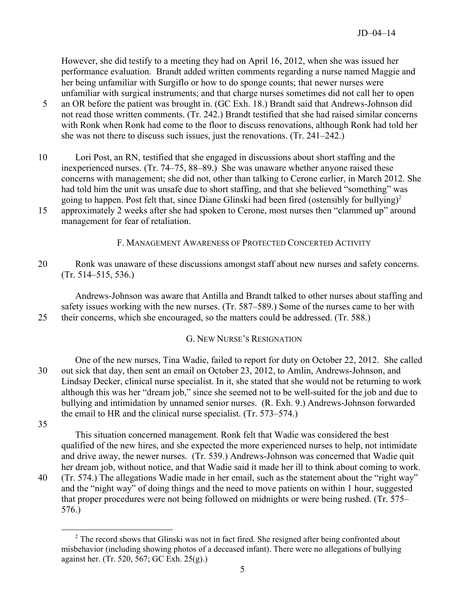However, she did testify to a meeting they had on April 16, 2012, when she was issued her performance evaluation. Brandt added written comments regarding a nurse named Maggie and her being unfamiliar with Surgiflo or how to do sponge counts; that newer nurses were unfamiliar with surgical instruments; and that charge nurses sometimes did not call her to open

- 5 an OR before the patient was brought in. (GC Exh. 18.) Brandt said that Andrews-Johnson did not read those written comments. (Tr. 242.) Brandt testified that she had raised similar concerns with Ronk when Ronk had come to the floor to discuss renovations, although Ronk had told her she was not there to discuss such issues, just the renovations. (Tr. 241–242.)
- 10 Lori Post, an RN, testified that she engaged in discussions about short staffing and the inexperienced nurses. (Tr. 74–75, 88–89.) She was unaware whether anyone raised these concerns with management; she did not, other than talking to Cerone earlier, in March 2012. She had told him the unit was unsafe due to short staffing, and that she believed "something" was going to happen. Post felt that, since Diane Glinski had been fired (ostensibly for bullying)<sup>[2](#page-4-0)</sup> 15 approximately 2 weeks after she had spoken to Cerone, most nurses then "clammed up" around

management for fear of retaliation.

F. MANAGEMENT AWARENESS OF PROTECTED CONCERTED ACTIVITY

20 Ronk was unaware of these discussions amongst staff about new nurses and safety concerns. (Tr. 514–515, 536.)

Andrews-Johnson was aware that Antilla and Brandt talked to other nurses about staffing and safety issues working with the new nurses. (Tr. 587–589.) Some of the nurses came to her with 25 their concerns, which she encouraged, so the matters could be addressed. (Tr. 588.)

## G. NEW NURSE'S RESIGNATION

One of the new nurses, Tina Wadie, failed to report for duty on October 22, 2012. She called 30 out sick that day, then sent an email on October 23, 2012, to Amlin, Andrews-Johnson, and Lindsay Decker, clinical nurse specialist. In it, she stated that she would not be returning to work although this was her "dream job," since she seemed not to be well-suited for the job and due to bullying and intimidation by unnamed senior nurses. (R. Exh. 9.) Andrews-Johnson forwarded the email to HR and the clinical nurse specialist. (Tr. 573–574.)

35

 $\overline{a}$ 

This situation concerned management. Ronk felt that Wadie was considered the best qualified of the new hires, and she expected the more experienced nurses to help, not intimidate and drive away, the newer nurses. (Tr. 539.) Andrews-Johnson was concerned that Wadie quit her dream job, without notice, and that Wadie said it made her ill to think about coming to work. 40 (Tr. 574.) The allegations Wadie made in her email, such as the statement about the "right way" and the "night way" of doing things and the need to move patients on within 1 hour, suggested that proper procedures were not being followed on midnights or were being rushed. (Tr. 575– 576.)

<span id="page-4-0"></span><sup>&</sup>lt;sup>2</sup> The record shows that Glinski was not in fact fired. She resigned after being confronted about misbehavior (including showing photos of a deceased infant). There were no allegations of bullying against her. (Tr. 520, 567; GC Exh. 25(g).)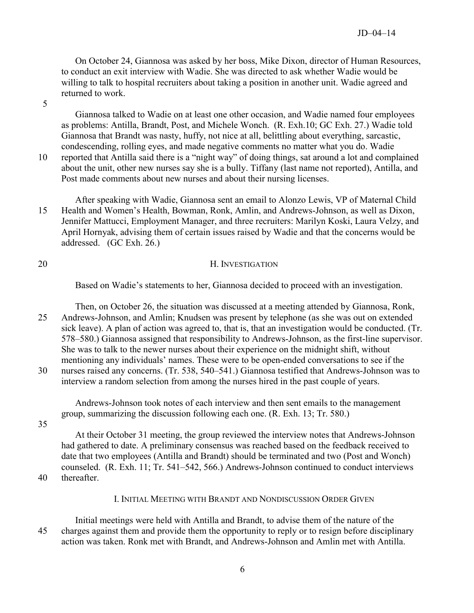On October 24, Giannosa was asked by her boss, Mike Dixon, director of Human Resources, to conduct an exit interview with Wadie. She was directed to ask whether Wadie would be willing to talk to hospital recruiters about taking a position in another unit. Wadie agreed and returned to work.

5

Giannosa talked to Wadie on at least one other occasion, and Wadie named four employees as problems: Antilla, Brandt, Post, and Michele Wonch. (R. Exh.10; GC Exh. 27.) Wadie told Giannosa that Brandt was nasty, huffy, not nice at all, belittling about everything, sarcastic, condescending, rolling eyes, and made negative comments no matter what you do. Wadie 10 reported that Antilla said there is a "night way" of doing things, sat around a lot and complained about the unit, other new nurses say she is a bully. Tiffany (last name not reported), Antilla, and Post made comments about new nurses and about their nursing licenses.

After speaking with Wadie, Giannosa sent an email to Alonzo Lewis, VP of Maternal Child 15 Health and Women's Health, Bowman, Ronk, Amlin, and Andrews-Johnson, as well as Dixon, Jennifer Mattucci, Employment Manager, and three recruiters: Marilyn Koski, Laura Velzy, and April Hornyak, advising them of certain issues raised by Wadie and that the concerns would be addressed. (GC Exh. 26.)

## 20 H. INVESTIGATION

Based on Wadie's statements to her, Giannosa decided to proceed with an investigation.

Then, on October 26, the situation was discussed at a meeting attended by Giannosa, Ronk, 25 Andrews-Johnson, and Amlin; Knudsen was present by telephone (as she was out on extended sick leave). A plan of action was agreed to, that is, that an investigation would be conducted. (Tr. 578–580.) Giannosa assigned that responsibility to Andrews-Johnson, as the first-line supervisor. She was to talk to the newer nurses about their experience on the midnight shift, without mentioning any individuals' names. These were to be open-ended conversations to see if the 30 nurses raised any concerns. (Tr. 538, 540–541.) Giannosa testified that Andrews-Johnson was to

interview a random selection from among the nurses hired in the past couple of years.

Andrews-Johnson took notes of each interview and then sent emails to the management group, summarizing the discussion following each one. (R. Exh. 13; Tr. 580.)

35

At their October 31 meeting, the group reviewed the interview notes that Andrews-Johnson had gathered to date. A preliminary consensus was reached based on the feedback received to date that two employees (Antilla and Brandt) should be terminated and two (Post and Wonch) counseled. (R. Exh. 11; Tr. 541–542, 566.) Andrews-Johnson continued to conduct interviews

40 thereafter.

#### I. INITIAL MEETING WITH BRANDT AND NONDISCUSSION ORDER GIVEN

Initial meetings were held with Antilla and Brandt, to advise them of the nature of the 45 charges against them and provide them the opportunity to reply or to resign before disciplinary action was taken. Ronk met with Brandt, and Andrews-Johnson and Amlin met with Antilla.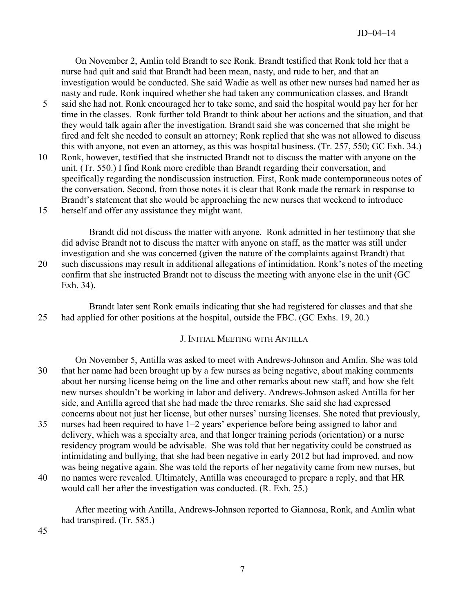On November 2, Amlin told Brandt to see Ronk. Brandt testified that Ronk told her that a nurse had quit and said that Brandt had been mean, nasty, and rude to her, and that an investigation would be conducted. She said Wadie as well as other new nurses had named her as nasty and rude. Ronk inquired whether she had taken any communication classes, and Brandt

- 5 said she had not. Ronk encouraged her to take some, and said the hospital would pay her for her time in the classes. Ronk further told Brandt to think about her actions and the situation, and that they would talk again after the investigation. Brandt said she was concerned that she might be fired and felt she needed to consult an attorney; Ronk replied that she was not allowed to discuss this with anyone, not even an attorney, as this was hospital business. (Tr. 257, 550; GC Exh. 34.)
- 10 Ronk, however, testified that she instructed Brandt not to discuss the matter with anyone on the unit. (Tr. 550.) I find Ronk more credible than Brandt regarding their conversation, and specifically regarding the nondiscussion instruction. First, Ronk made contemporaneous notes of the conversation. Second, from those notes it is clear that Ronk made the remark in response to Brandt's statement that she would be approaching the new nurses that weekend to introduce
- 15 herself and offer any assistance they might want.

Brandt did not discuss the matter with anyone. Ronk admitted in her testimony that she did advise Brandt not to discuss the matter with anyone on staff, as the matter was still under investigation and she was concerned (given the nature of the complaints against Brandt) that 20 such discussions may result in additional allegations of intimidation. Ronk's notes of the meeting confirm that she instructed Brandt not to discuss the meeting with anyone else in the unit (GC Exh. 34).

Brandt later sent Ronk emails indicating that she had registered for classes and that she 25 had applied for other positions at the hospital, outside the FBC. (GC Exhs. 19, 20.)

### J. INITIAL MEETING WITH ANTILLA

On November 5, Antilla was asked to meet with Andrews-Johnson and Amlin. She was told 30 that her name had been brought up by a few nurses as being negative, about making comments about her nursing license being on the line and other remarks about new staff, and how she felt new nurses shouldn't be working in labor and delivery. Andrews-Johnson asked Antilla for her side, and Antilla agreed that she had made the three remarks. She said she had expressed concerns about not just her license, but other nurses' nursing licenses. She noted that previously,

- 35 nurses had been required to have 1–2 years' experience before being assigned to labor and delivery, which was a specialty area, and that longer training periods (orientation) or a nurse residency program would be advisable. She was told that her negativity could be construed as intimidating and bullying, that she had been negative in early 2012 but had improved, and now was being negative again. She was told the reports of her negativity came from new nurses, but
- 40 no names were revealed. Ultimately, Antilla was encouraged to prepare a reply, and that HR would call her after the investigation was conducted. (R. Exh. 25.)

After meeting with Antilla, Andrews-Johnson reported to Giannosa, Ronk, and Amlin what had transpired. (Tr. 585.)

45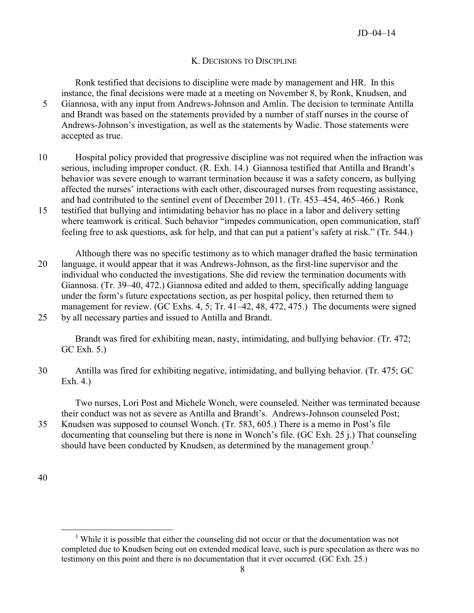## K. DECISIONS TO DISCIPLINE

Ronk testified that decisions to discipline were made by management and HR. In this instance, the final decisions were made at a meeting on November 8, by Ronk, Knudsen, and 5 Giannosa, with any input from Andrews-Johnson and Amlin. The decision to terminate Antilla and Brandt was based on the statements provided by a number of staff nurses in the course of Andrews-Johnson's investigation, as well as the statements by Wadie. Those statements were accepted as true.

- 10 Hospital policy provided that progressive discipline was not required when the infraction was serious, including improper conduct. (R. Exh. 14.) Giannosa testified that Antilla and Brandt's behavior was severe enough to warrant termination because it was a safety concern, as bullying affected the nurses' interactions with each other, discouraged nurses from requesting assistance, and had contributed to the sentinel event of December 2011. (Tr. 453–454, 465–466.) Ronk
- 15 testified that bullying and intimidating behavior has no place in a labor and delivery setting where teamwork is critical. Such behavior "impedes communication, open communication, staff feeling free to ask questions, ask for help, and that can put a patient's safety at risk." (Tr. 544.)

Although there was no specific testimony as to which manager drafted the basic termination 20 language, it would appear that it was Andrews-Johnson, as the first-line supervisor and the individual who conducted the investigations. She did review the termination documents with Giannosa. (Tr. 39–40, 472.) Giannosa edited and added to them, specifically adding language under the form's future expectations section, as per hospital policy, then returned them to management for review. (GC Exhs. 4, 5; Tr. 41–42, 48, 472, 475.) The documents were signed 25 by all necessary parties and issued to Antilla and Brandt.

Brandt was fired for exhibiting mean, nasty, intimidating, and bullying behavior. (Tr. 472; GC Exh. 5.)

30 Antilla was fired for exhibiting negative, intimidating, and bullying behavior. (Tr. 475; GC Exh. 4.)

Two nurses, Lori Post and Michele Wonch, were counseled. Neither was terminated because their conduct was not as severe as Antilla and Brandt's. Andrews-Johnson counseled Post;

35 Knudsen was supposed to counsel Wonch. (Tr. 583, 605.) There is a memo in Post's file documenting that counseling but there is none in Wonch's file. (GC Exh. 25 j.) That counseling should have been conducted by Knudsen, as determined by the management group.<sup>[3](#page-7-0)</sup>

<sup>40</sup>

<span id="page-7-0"></span> $\overline{a}$ <sup>3</sup> While it is possible that either the counseling did not occur or that the documentation was not completed due to Knudsen being out on extended medical leave, such is pure speculation as there was no testimony on this point and there is no documentation that it ever occurred. (GC Exh. 25.)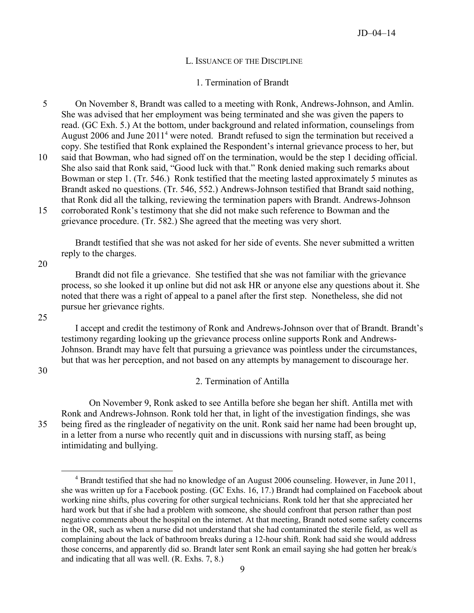#### L. ISSUANCE OF THE DISCIPLINE

#### 1. Termination of Brandt

- 5 On November 8, Brandt was called to a meeting with Ronk, Andrews-Johnson, and Amlin. She was advised that her employment was being terminated and she was given the papers to read. (GC Exh. 5.) At the bottom, under background and related information, counselings from August 2006 and June 2011<sup>[4](#page-8-0)</sup> were noted. Brandt refused to sign the termination but received a copy. She testified that Ronk explained the Respondent's internal grievance process to her, but 10 said that Bowman, who had signed off on the termination, would be the step 1 deciding official.
- She also said that Ronk said, "Good luck with that." Ronk denied making such remarks about Bowman or step 1. (Tr. 546.) Ronk testified that the meeting lasted approximately 5 minutes as Brandt asked no questions. (Tr. 546, 552.) Andrews-Johnson testified that Brandt said nothing, that Ronk did all the talking, reviewing the termination papers with Brandt. Andrews-Johnson 15 corroborated Ronk's testimony that she did not make such reference to Bowman and the grievance procedure. (Tr. 582.) She agreed that the meeting was very short.

Brandt testified that she was not asked for her side of events. She never submitted a written reply to the charges.

20

Brandt did not file a grievance. She testified that she was not familiar with the grievance process, so she looked it up online but did not ask HR or anyone else any questions about it. She noted that there was a right of appeal to a panel after the first step. Nonetheless, she did not pursue her grievance rights.

25

I accept and credit the testimony of Ronk and Andrews-Johnson over that of Brandt. Brandt's testimony regarding looking up the grievance process online supports Ronk and Andrews-Johnson. Brandt may have felt that pursuing a grievance was pointless under the circumstances, but that was her perception, and not based on any attempts by management to discourage her.

30

 $\overline{a}$ 

#### 2. Termination of Antilla

On November 9, Ronk asked to see Antilla before she began her shift. Antilla met with Ronk and Andrews-Johnson. Ronk told her that, in light of the investigation findings, she was 35 being fired as the ringleader of negativity on the unit. Ronk said her name had been brought up, in a letter from a nurse who recently quit and in discussions with nursing staff, as being intimidating and bullying.

<span id="page-8-0"></span><sup>&</sup>lt;sup>4</sup> Brandt testified that she had no knowledge of an August 2006 counseling. However, in June 2011, she was written up for a Facebook posting. (GC Exhs. 16, 17.) Brandt had complained on Facebook about working nine shifts, plus covering for other surgical technicians. Ronk told her that she appreciated her hard work but that if she had a problem with someone, she should confront that person rather than post negative comments about the hospital on the internet. At that meeting, Brandt noted some safety concerns in the OR, such as when a nurse did not understand that she had contaminated the sterile field, as well as complaining about the lack of bathroom breaks during a 12-hour shift. Ronk had said she would address those concerns, and apparently did so. Brandt later sent Ronk an email saying she had gotten her break/s and indicating that all was well. (R. Exhs. 7, 8.)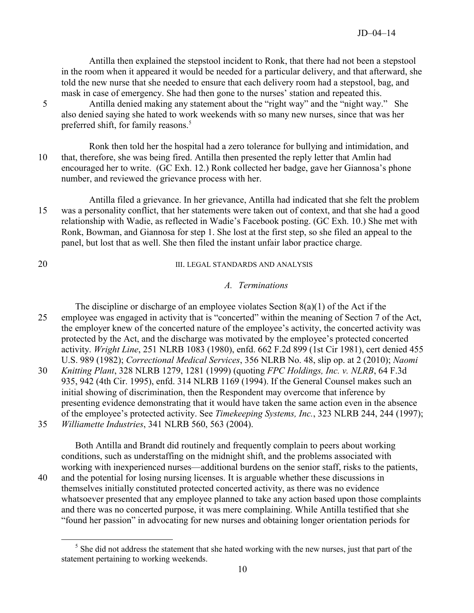Antilla then explained the stepstool incident to Ronk, that there had not been a stepstool in the room when it appeared it would be needed for a particular delivery, and that afterward, she told the new nurse that she needed to ensure that each delivery room had a stepstool, bag, and mask in case of emergency. She had then gone to the nurses' station and repeated this.

5 Antilla denied making any statement about the "right way" and the "night way." She also denied saying she hated to work weekends with so many new nurses, since that was her preferred shift, for family reasons.<sup>[5](#page-9-0)</sup>

Ronk then told her the hospital had a zero tolerance for bullying and intimidation, and 10 that, therefore, she was being fired. Antilla then presented the reply letter that Amlin had encouraged her to write. (GC Exh. 12.) Ronk collected her badge, gave her Giannosa's phone number, and reviewed the grievance process with her.

Antilla filed a grievance. In her grievance, Antilla had indicated that she felt the problem 15 was a personality conflict, that her statements were taken out of context, and that she had a good relationship with Wadie, as reflected in Wadie's Facebook posting. (GC Exh. 10.) She met with Ronk, Bowman, and Giannosa for step 1. She lost at the first step, so she filed an appeal to the panel, but lost that as well. She then filed the instant unfair labor practice charge.

 $\overline{a}$ 

## 20 III. LEGAL STANDARDS AND ANALYSIS

## *A. Terminations*

The discipline or discharge of an employee violates Section  $8(a)(1)$  of the Act if the 25 employee was engaged in activity that is "concerted" within the meaning of Section 7 of the Act, the employer knew of the concerted nature of the employee's activity, the concerted activity was protected by the Act, and the discharge was motivated by the employee's protected concerted activity. *Wright Line*, 251 NLRB 1083 (1980), enfd. 662 F.2d 899 (1st Cir 1981), cert denied 455 U.S. 989 (1982); *Correctional Medical Services*, 356 NLRB No. 48, slip op. at 2 (2010); *Naomi*  30 *Knitting Plant*, 328 NLRB 1279, 1281 (1999) (quoting *FPC Holdings, Inc. v. NLRB*, 64 F.3d 935, 942 (4th Cir. 1995), enfd. 314 NLRB 1169 (1994). If the General Counsel makes such an initial showing of discrimination, then the Respondent may overcome that inference by presenting evidence demonstrating that it would have taken the same action even in the absence

of the employee's protected activity. See *Timekeeping Systems, Inc.*, 323 NLRB 244, 244 (1997); 35 *Williamette Industries*, 341 NLRB 560, 563 (2004).

Both Antilla and Brandt did routinely and frequently complain to peers about working conditions, such as understaffing on the midnight shift, and the problems associated with working with inexperienced nurses—additional burdens on the senior staff, risks to the patients,

40 and the potential for losing nursing licenses. It is arguable whether these discussions in themselves initially constituted protected concerted activity, as there was no evidence whatsoever presented that any employee planned to take any action based upon those complaints and there was no concerted purpose, it was mere complaining. While Antilla testified that she "found her passion" in advocating for new nurses and obtaining longer orientation periods for

<span id="page-9-0"></span> $<sup>5</sup>$  She did not address the statement that she hated working with the new nurses, just that part of the</sup> statement pertaining to working weekends.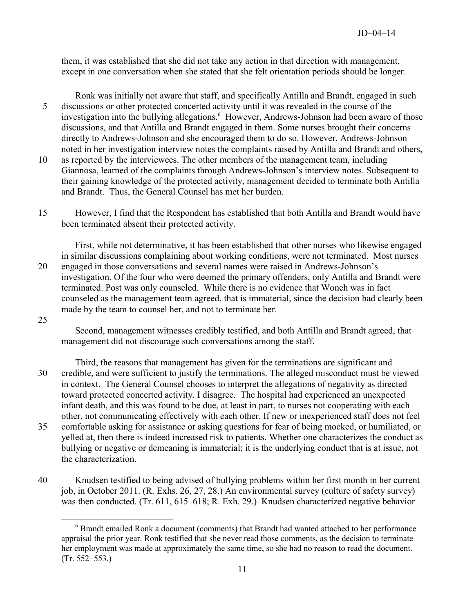them, it was established that she did not take any action in that direction with management, except in one conversation when she stated that she felt orientation periods should be longer.

Ronk was initially not aware that staff, and specifically Antilla and Brandt, engaged in such 5 discussions or other protected concerted activity until it was revealed in the course of the investigation into the bullying allegations.<sup>[6](#page-10-0)</sup> However, Andrews-Johnson had been aware of those discussions, and that Antilla and Brandt engaged in them. Some nurses brought their concerns directly to Andrews-Johnson and she encouraged them to do so. However, Andrews-Johnson noted in her investigation interview notes the complaints raised by Antilla and Brandt and others,

- 10 as reported by the interviewees. The other members of the management team, including Giannosa, learned of the complaints through Andrews-Johnson's interview notes. Subsequent to their gaining knowledge of the protected activity, management decided to terminate both Antilla and Brandt. Thus, the General Counsel has met her burden.
- 15 However, I find that the Respondent has established that both Antilla and Brandt would have been terminated absent their protected activity.

First, while not determinative, it has been established that other nurses who likewise engaged in similar discussions complaining about working conditions, were not terminated. Most nurses 20 engaged in those conversations and several names were raised in Andrews-Johnson's investigation. Of the four who were deemed the primary offenders, only Antilla and Brandt were terminated. Post was only counseled. While there is no evidence that Wonch was in fact counseled as the management team agreed, that is immaterial, since the decision had clearly been made by the team to counsel her, and not to terminate her.

25

 $\overline{a}$ 

Second, management witnesses credibly testified, and both Antilla and Brandt agreed, that management did not discourage such conversations among the staff.

Third, the reasons that management has given for the terminations are significant and 30 credible, and were sufficient to justify the terminations. The alleged misconduct must be viewed in context. The General Counsel chooses to interpret the allegations of negativity as directed toward protected concerted activity. I disagree. The hospital had experienced an unexpected infant death, and this was found to be due, at least in part, to nurses not cooperating with each other, not communicating effectively with each other. If new or inexperienced staff does not feel 35 comfortable asking for assistance or asking questions for fear of being mocked, or humiliated, or yelled at, then there is indeed increased risk to patients. Whether one characterizes the conduct as bullying or negative or demeaning is immaterial; it is the underlying conduct that is at issue, not the characterization.

<span id="page-10-0"></span>40 Knudsen testified to being advised of bullying problems within her first month in her current job, in October 2011. (R. Exhs. 26, 27, 28.) An environmental survey (culture of safety survey) was then conducted. (Tr. 611, 615–618; R. Exh. 29.) Knudsen characterized negative behavior

<sup>&</sup>lt;sup>6</sup> Brandt emailed Ronk a document (comments) that Brandt had wanted attached to her performance appraisal the prior year. Ronk testified that she never read those comments, as the decision to terminate her employment was made at approximately the same time, so she had no reason to read the document. (Tr. 552–553.)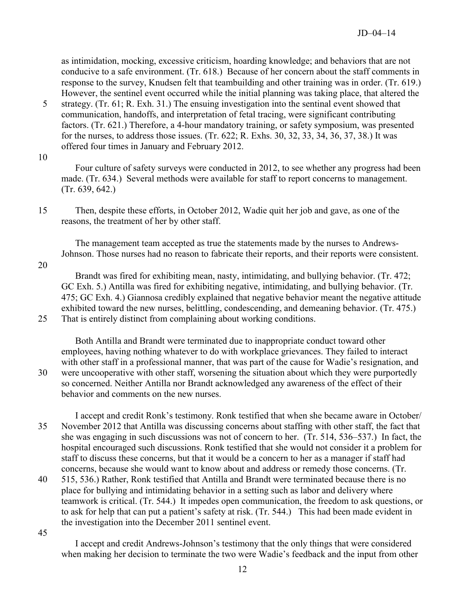as intimidation, mocking, excessive criticism, hoarding knowledge; and behaviors that are not conducive to a safe environment. (Tr. 618.) Because of her concern about the staff comments in response to the survey, Knudsen felt that teambuilding and other training was in order. (Tr. 619.) However, the sentinel event occurred while the initial planning was taking place, that altered the

- 5 strategy. (Tr. 61; R. Exh. 31.) The ensuing investigation into the sentinal event showed that communication, handoffs, and interpretation of fetal tracing, were significant contributing factors. (Tr. 621.) Therefore, a 4-hour mandatory training, or safety symposium, was presented for the nurses, to address those issues. (Tr. 622; R. Exhs. 30, 32, 33, 34, 36, 37, 38.) It was offered four times in January and February 2012.
- 10

Four culture of safety surveys were conducted in 2012, to see whether any progress had been made. (Tr. 634.) Several methods were available for staff to report concerns to management. (Tr. 639, 642.)

The management team accepted as true the statements made by the nurses to Andrews-Johnson. Those nurses had no reason to fabricate their reports, and their reports were consistent.

20

Brandt was fired for exhibiting mean, nasty, intimidating, and bullying behavior. (Tr. 472; GC Exh. 5.) Antilla was fired for exhibiting negative, intimidating, and bullying behavior. (Tr. 475; GC Exh. 4.) Giannosa credibly explained that negative behavior meant the negative attitude exhibited toward the new nurses, belittling, condescending, and demeaning behavior. (Tr. 475.) 25 That is entirely distinct from complaining about working conditions.

Both Antilla and Brandt were terminated due to inappropriate conduct toward other employees, having nothing whatever to do with workplace grievances. They failed to interact with other staff in a professional manner, that was part of the cause for Wadie's resignation, and 30 were uncooperative with other staff, worsening the situation about which they were purportedly so concerned. Neither Antilla nor Brandt acknowledged any awareness of the effect of their behavior and comments on the new nurses.

I accept and credit Ronk's testimony. Ronk testified that when she became aware in October/ 35 November 2012 that Antilla was discussing concerns about staffing with other staff, the fact that she was engaging in such discussions was not of concern to her. (Tr. 514, 536–537.) In fact, the hospital encouraged such discussions. Ronk testified that she would not consider it a problem for staff to discuss these concerns, but that it would be a concern to her as a manager if staff had concerns, because she would want to know about and address or remedy those concerns. (Tr.

40 515, 536.) Rather, Ronk testified that Antilla and Brandt were terminated because there is no place for bullying and intimidating behavior in a setting such as labor and delivery where teamwork is critical. (Tr. 544.) It impedes open communication, the freedom to ask questions, or to ask for help that can put a patient's safety at risk. (Tr. 544.) This had been made evident in the investigation into the December 2011 sentinel event.

45

I accept and credit Andrews-Johnson's testimony that the only things that were considered when making her decision to terminate the two were Wadie's feedback and the input from other

<sup>15</sup> Then, despite these efforts, in October 2012, Wadie quit her job and gave, as one of the reasons, the treatment of her by other staff.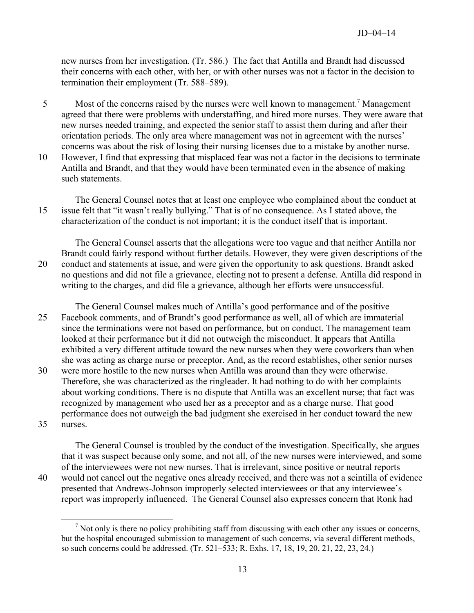new nurses from her investigation. (Tr. 586.) The fact that Antilla and Brandt had discussed their concerns with each other, with her, or with other nurses was not a factor in the decision to termination their employment (Tr. 588–589).

- 5 Most of the concerns raised by the nurses were well known to management.<sup>[7](#page-12-0)</sup> Management agreed that there were problems with understaffing, and hired more nurses. They were aware that new nurses needed training, and expected the senior staff to assist them during and after their orientation periods. The only area where management was not in agreement with the nurses' concerns was about the risk of losing their nursing licenses due to a mistake by another nurse.
- 10 However, I find that expressing that misplaced fear was not a factor in the decisions to terminate Antilla and Brandt, and that they would have been terminated even in the absence of making such statements.

The General Counsel notes that at least one employee who complained about the conduct at 15 issue felt that "it wasn't really bullying." That is of no consequence. As I stated above, the characterization of the conduct is not important; it is the conduct itself that is important.

The General Counsel asserts that the allegations were too vague and that neither Antilla nor Brandt could fairly respond without further details. However, they were given descriptions of the 20 conduct and statements at issue, and were given the opportunity to ask questions. Brandt asked no questions and did not file a grievance, electing not to present a defense. Antilla did respond in writing to the charges, and did file a grievance, although her efforts were unsuccessful.

The General Counsel makes much of Antilla's good performance and of the positive 25 Facebook comments, and of Brandt's good performance as well, all of which are immaterial since the terminations were not based on performance, but on conduct. The management team looked at their performance but it did not outweigh the misconduct. It appears that Antilla exhibited a very different attitude toward the new nurses when they were coworkers than when she was acting as charge nurse or preceptor. And, as the record establishes, other senior nurses

30 were more hostile to the new nurses when Antilla was around than they were otherwise. Therefore, she was characterized as the ringleader. It had nothing to do with her complaints about working conditions. There is no dispute that Antilla was an excellent nurse; that fact was recognized by management who used her as a preceptor and as a charge nurse. That good performance does not outweigh the bad judgment she exercised in her conduct toward the new 35 nurses.

The General Counsel is troubled by the conduct of the investigation. Specifically, she argues that it was suspect because only some, and not all, of the new nurses were interviewed, and some of the interviewees were not new nurses. That is irrelevant, since positive or neutral reports 40 would not cancel out the negative ones already received, and there was not a scintilla of evidence presented that Andrews-Johnson improperly selected interviewees or that any interviewee's report was improperly influenced. The General Counsel also expresses concern that Ronk had

 $\overline{a}$ 

<span id="page-12-0"></span> $<sup>7</sup>$  Not only is there no policy prohibiting staff from discussing with each other any issues or concerns,</sup> but the hospital encouraged submission to management of such concerns, via several different methods, so such concerns could be addressed. (Tr. 521–533; R. Exhs. 17, 18, 19, 20, 21, 22, 23, 24.)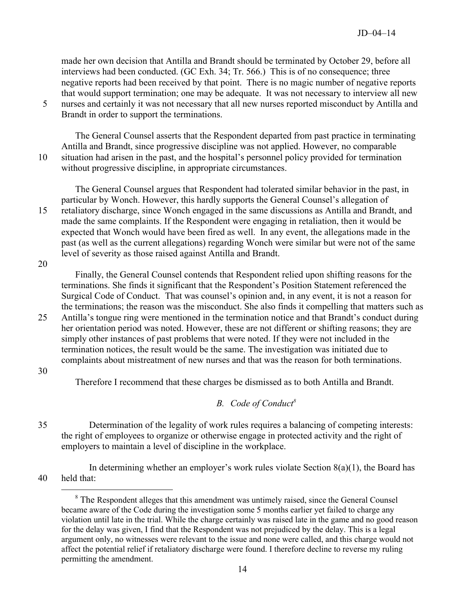made her own decision that Antilla and Brandt should be terminated by October 29, before all interviews had been conducted. (GC Exh. 34; Tr. 566.) This is of no consequence; three negative reports had been received by that point. There is no magic number of negative reports that would support termination; one may be adequate. It was not necessary to interview all new 5 nurses and certainly it was not necessary that all new nurses reported misconduct by Antilla and

Brandt in order to support the terminations.

The General Counsel asserts that the Respondent departed from past practice in terminating Antilla and Brandt, since progressive discipline was not applied. However, no comparable 10 situation had arisen in the past, and the hospital's personnel policy provided for termination without progressive discipline, in appropriate circumstances.

The General Counsel argues that Respondent had tolerated similar behavior in the past, in particular by Wonch. However, this hardly supports the General Counsel's allegation of 15 retaliatory discharge, since Wonch engaged in the same discussions as Antilla and Brandt, and made the same complaints. If the Respondent were engaging in retaliation, then it would be expected that Wonch would have been fired as well. In any event, the allegations made in the past (as well as the current allegations) regarding Wonch were similar but were not of the same level of severity as those raised against Antilla and Brandt.

20

Finally, the General Counsel contends that Respondent relied upon shifting reasons for the terminations. She finds it significant that the Respondent's Position Statement referenced the Surgical Code of Conduct. That was counsel's opinion and, in any event, it is not a reason for the terminations; the reason was the misconduct. She also finds it compelling that matters such as

25 Antilla's tongue ring were mentioned in the termination notice and that Brandt's conduct during her orientation period was noted. However, these are not different or shifting reasons; they are simply other instances of past problems that were noted. If they were not included in the termination notices, the result would be the same. The investigation was initiated due to complaints about mistreatment of new nurses and that was the reason for both terminations.

30

 $\overline{a}$ 

Therefore I recommend that these charges be dismissed as to both Antilla and Brandt.

### *B. Code of Conduct[8](#page-13-0)*

35 Determination of the legality of work rules requires a balancing of competing interests: the right of employees to organize or otherwise engage in protected activity and the right of employers to maintain a level of discipline in the workplace.

<span id="page-13-0"></span>In determining whether an employer's work rules violate Section  $8(a)(1)$ , the Board has 40 held that:

<sup>&</sup>lt;sup>8</sup> The Respondent alleges that this amendment was untimely raised, since the General Counsel became aware of the Code during the investigation some 5 months earlier yet failed to charge any violation until late in the trial. While the charge certainly was raised late in the game and no good reason for the delay was given, I find that the Respondent was not prejudiced by the delay. This is a legal argument only, no witnesses were relevant to the issue and none were called, and this charge would not affect the potential relief if retaliatory discharge were found. I therefore decline to reverse my ruling permitting the amendment.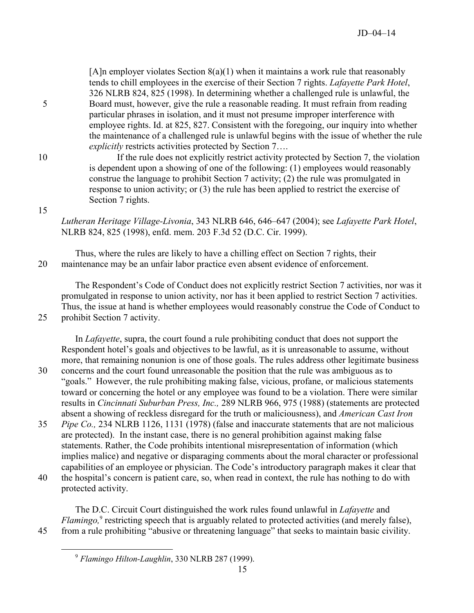[A]n employer violates Section  $8(a)(1)$  when it maintains a work rule that reasonably tends to chill employees in the exercise of their Section 7 rights. *Lafayette Park Hotel*, 326 NLRB 824, 825 (1998). In determining whether a challenged rule is unlawful, the 5 Board must, however, give the rule a reasonable reading. It must refrain from reading particular phrases in isolation, and it must not presume improper interference with employee rights. Id. at 825, 827. Consistent with the foregoing, our inquiry into whether the maintenance of a challenged rule is unlawful begins with the issue of whether the rule *explicitly* restricts activities protected by Section 7….

10 If the rule does not explicitly restrict activity protected by Section 7, the violation is dependent upon a showing of one of the following: (1) employees would reasonably construe the language to prohibit Section 7 activity; (2) the rule was promulgated in response to union activity; or (3) the rule has been applied to restrict the exercise of Section 7 rights.

*Lutheran Heritage Village-Livonia*, 343 NLRB 646, 646–647 (2004); see *Lafayette Park Hotel*, NLRB 824, 825 (1998), enfd. mem. 203 F.3d 52 (D.C. Cir. 1999).

Thus, where the rules are likely to have a chilling effect on Section 7 rights, their 20 maintenance may be an unfair labor practice even absent evidence of enforcement.

The Respondent's Code of Conduct does not explicitly restrict Section 7 activities, nor was it promulgated in response to union activity, nor has it been applied to restrict Section 7 activities. Thus, the issue at hand is whether employees would reasonably construe the Code of Conduct to 25 prohibit Section 7 activity.

In *Lafayette*, supra, the court found a rule prohibiting conduct that does not support the Respondent hotel's goals and objectives to be lawful, as it is unreasonable to assume, without more, that remaining nonunion is one of those goals. The rules address other legitimate business

- 30 concerns and the court found unreasonable the position that the rule was ambiguous as to "goals." However, the rule prohibiting making false, vicious, profane, or malicious statements toward or concerning the hotel or any employee was found to be a violation. There were similar results in *Cincinnati Suburban Press, Inc.,* 289 NLRB 966, 975 (1988) (statements are protected absent a showing of reckless disregard for the truth or maliciousness), and *American Cast Iron*
- 35 *Pipe Co.,* 234 NLRB 1126, 1131 (1978) (false and inaccurate statements that are not malicious are protected). In the instant case, there is no general prohibition against making false statements. Rather, the Code prohibits intentional misrepresentation of information (which implies malice) and negative or disparaging comments about the moral character or professional capabilities of an employee or physician. The Code's introductory paragraph makes it clear that 40 the hospital's concern is patient care, so, when read in context, the rule has nothing to do with
	- protected activity.

The D.C. Circuit Court distinguished the work rules found unlawful in *Lafayette* and Flamingo,<sup>[9](#page-14-0)</sup> restricting speech that is arguably related to protected activities (and merely false), 45 from a rule prohibiting "abusive or threatening language" that seeks to maintain basic civility.

<span id="page-14-0"></span>

 $\overline{a}$ 

15

<sup>9</sup> *Flamingo Hilton-Laughlin*, 330 NLRB 287 (1999).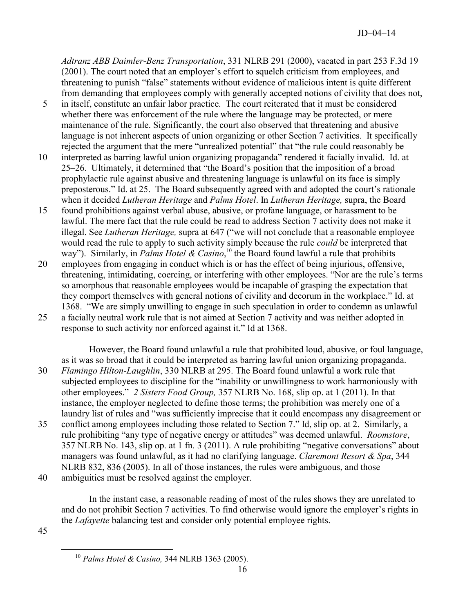*Adtranz ABB Daimler-Benz Transportation*, 331 NLRB 291 (2000), vacated in part 253 F.3d 19 (2001). The court noted that an employer's effort to squelch criticism from employees, and threatening to punish "false" statements without evidence of malicious intent is quite different from demanding that employees comply with generally accepted notions of civility that does not,

- 5 in itself, constitute an unfair labor practice. The court reiterated that it must be considered whether there was enforcement of the rule where the language may be protected, or mere maintenance of the rule. Significantly, the court also observed that threatening and abusive language is not inherent aspects of union organizing or other Section 7 activities. It specifically rejected the argument that the mere "unrealized potential" that "the rule could reasonably be
- 10 interpreted as barring lawful union organizing propaganda" rendered it facially invalid. Id. at 25–26. Ultimately, it determined that "the Board's position that the imposition of a broad prophylactic rule against abusive and threatening language is unlawful on its face is simply preposterous." Id. at 25. The Board subsequently agreed with and adopted the court's rationale when it decided *Lutheran Heritage* and *Palms Hotel*. In *Lutheran Heritage,* supra, the Board
- 15 found prohibitions against verbal abuse, abusive, or profane language, or harassment to be lawful. The mere fact that the rule could be read to address Section 7 activity does not make it illegal. See *Lutheran Heritage,* supra at 647 ("we will not conclude that a reasonable employee would read the rule to apply to such activity simply because the rule *could* be interpreted that way"). Similarly, in *Palms Hotel & Casino*,<sup>[10](#page-15-0)</sup> the Board found lawful a rule that prohibits
- 20 employees from engaging in conduct which is or has the effect of being injurious, offensive, threatening, intimidating, coercing, or interfering with other employees. "Nor are the rule's terms so amorphous that reasonable employees would be incapable of grasping the expectation that they comport themselves with general notions of civility and decorum in the workplace." Id. at 1368. "We are simply unwilling to engage in such speculation in order to condemn as unlawful
- 25 a facially neutral work rule that is not aimed at Section 7 activity and was neither adopted in response to such activity nor enforced against it." Id at 1368.

However, the Board found unlawful a rule that prohibited loud, abusive, or foul language, as it was so broad that it could be interpreted as barring lawful union organizing propaganda. 30 *Flamingo Hilton-Laughlin*, 330 NLRB at 295. The Board found unlawful a work rule that subjected employees to discipline for the "inability or unwillingness to work harmoniously with other employees." *2 Sisters Food Group,* 357 NLRB No. 168, slip op. at 1 (2011). In that instance, the employer neglected to define those terms; the prohibition was merely one of a laundry list of rules and "was sufficiently imprecise that it could encompass any disagreement or 35 conflict among employees including those related to Section 7." Id, slip op. at 2. Similarly, a rule prohibiting "any type of negative energy or attitudes" was deemed unlawful. *Roomstore*, 357 NLRB No. 143, slip op. at 1 fn. 3 (2011). A rule prohibiting "negative conversations" about managers was found unlawful, as it had no clarifying language. *Claremont Resort & Spa*, 344 NLRB 832, 836 (2005). In all of those instances, the rules were ambiguous, and those

40 ambiguities must be resolved against the employer.

In the instant case, a reasonable reading of most of the rules shows they are unrelated to and do not prohibit Section 7 activities. To find otherwise would ignore the employer's rights in the *Lafayette* balancing test and consider only potential employee rights.

<span id="page-15-0"></span>45

 $\overline{a}$ 

<sup>10</sup> *Palms Hotel & Casino,* 344 NLRB 1363 (2005).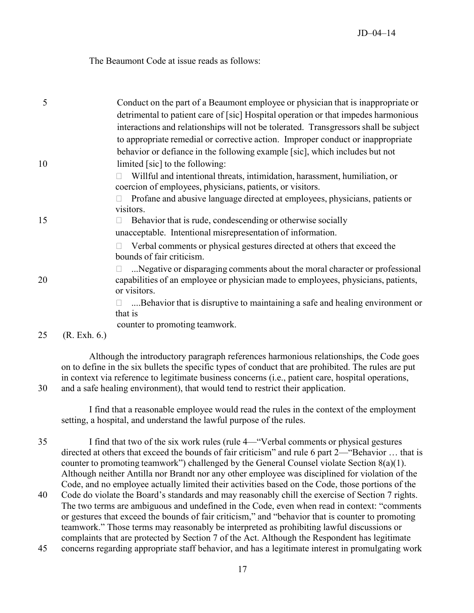The Beaumont Code at issue reads as follows:

| 5  |                  | Conduct on the part of a Beaumont employee or physician that is inappropriate or<br>detrimental to patient care of [sic] Hospital operation or that impedes harmonious<br>interactions and relationships will not be tolerated. Transgressors shall be subject |
|----|------------------|----------------------------------------------------------------------------------------------------------------------------------------------------------------------------------------------------------------------------------------------------------------|
|    |                  | to appropriate remedial or corrective action. Improper conduct or inappropriate                                                                                                                                                                                |
| 10 |                  | behavior or defiance in the following example [sic], which includes but not<br>limited [sic] to the following:                                                                                                                                                 |
|    |                  | Willful and intentional threats, intimidation, harassment, humiliation, or<br>coercion of employees, physicians, patients, or visitors.                                                                                                                        |
|    |                  | Profane and abusive language directed at employees, physicians, patients or<br>visitors.                                                                                                                                                                       |
| 15 |                  | Behavior that is rude, condescending or otherwise socially<br>unacceptable. Intentional misrepresentation of information.                                                                                                                                      |
|    |                  | Verbal comments or physical gestures directed at others that exceed the<br>bounds of fair criticism.                                                                                                                                                           |
| 20 |                  | Negative or disparaging comments about the moral character or professional<br>capabilities of an employee or physician made to employees, physicians, patients,<br>or visitors.                                                                                |
|    |                  | Behavior that is disruptive to maintaining a safe and healing environment or                                                                                                                                                                                   |
|    |                  | that is                                                                                                                                                                                                                                                        |
| 25 | $(R. \,Exh. 6.)$ | counter to promoting teamwork.                                                                                                                                                                                                                                 |

Although the introductory paragraph references harmonious relationships, the Code goes on to define in the six bullets the specific types of conduct that are prohibited. The rules are put in context via reference to legitimate business concerns (i.e., patient care, hospital operations, 30 and a safe healing environment), that would tend to restrict their application.

I find that a reasonable employee would read the rules in the context of the employment setting, a hospital, and understand the lawful purpose of the rules.

35 I find that two of the six work rules (rule 4—"Verbal comments or physical gestures directed at others that exceed the bounds of fair criticism" and rule 6 part 2—"Behavior … that is counter to promoting teamwork") challenged by the General Counsel violate Section  $8(a)(1)$ . Although neither Antilla nor Brandt nor any other employee was disciplined for violation of the Code, and no employee actually limited their activities based on the Code, those portions of the

- 40 Code do violate the Board's standards and may reasonably chill the exercise of Section 7 rights. The two terms are ambiguous and undefined in the Code, even when read in context: "comments or gestures that exceed the bounds of fair criticism," and "behavior that is counter to promoting teamwork." Those terms may reasonably be interpreted as prohibiting lawful discussions or complaints that are protected by Section 7 of the Act. Although the Respondent has legitimate
- 45 concerns regarding appropriate staff behavior, and has a legitimate interest in promulgating work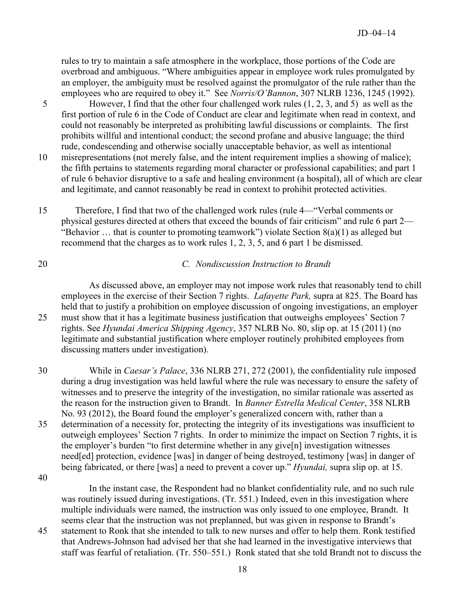rules to try to maintain a safe atmosphere in the workplace, those portions of the Code are overbroad and ambiguous. "Where ambiguities appear in employee work rules promulgated by an employer, the ambiguity must be resolved against the promulgator of the rule rather than the employees who are required to obey it." See *Norris/O'Bannon*, 307 NLRB 1236, 1245 (1992).

- 5 However, I find that the other four challenged work rules (1, 2, 3, and 5) as well as the first portion of rule 6 in the Code of Conduct are clear and legitimate when read in context, and could not reasonably be interpreted as prohibiting lawful discussions or complaints. The first prohibits willful and intentional conduct; the second profane and abusive language; the third rude, condescending and otherwise socially unacceptable behavior, as well as intentional
- 10 misrepresentations (not merely false, and the intent requirement implies a showing of malice); the fifth pertains to statements regarding moral character or professional capabilities; and part 1 of rule 6 behavior disruptive to a safe and healing environment (a hospital), all of which are clear and legitimate, and cannot reasonably be read in context to prohibit protected activities.
- 15 Therefore, I find that two of the challenged work rules (rule 4—"Verbal comments or physical gestures directed at others that exceed the bounds of fair criticism" and rule 6 part 2— "Behavior … that is counter to promoting teamwork") violate Section 8(a)(1) as alleged but recommend that the charges as to work rules 1, 2, 3, 5, and 6 part 1 be dismissed.

# 20 *C. Nondiscussion Instruction to Brandt*

As discussed above, an employer may not impose work rules that reasonably tend to chill employees in the exercise of their Section 7 rights. *Lafayette Park,* supra at 825. The Board has held that to justify a prohibition on employee discussion of ongoing investigations, an employer 25 must show that it has a legitimate business justification that outweighs employees' Section 7 rights. See *Hyundai America Shipping Agency*, 357 NLRB No. 80, slip op. at 15 (2011) (no legitimate and substantial justification where employer routinely prohibited employees from discussing matters under investigation).

30 While in *Caesar's Palace*, 336 NLRB 271, 272 (2001), the confidentiality rule imposed during a drug investigation was held lawful where the rule was necessary to ensure the safety of witnesses and to preserve the integrity of the investigation, no similar rationale was asserted as the reason for the instruction given to Brandt. In *Banner Estrella Medical Center*, 358 NLRB No. 93 (2012), the Board found the employer's generalized concern with, rather than a 35 determination of a necessity for, protecting the integrity of its investigations was insufficient to outweigh employees' Section 7 rights. In order to minimize the impact on Section 7 rights, it is the employer's burden "to first determine whether in any give[n] investigation witnesses need[ed] protection, evidence [was] in danger of being destroyed, testimony [was] in danger of being fabricated, or there [was] a need to prevent a cover up." *Hyundai,* supra slip op. at 15.

40

In the instant case, the Respondent had no blanket confidentiality rule, and no such rule was routinely issued during investigations. (Tr. 551.) Indeed, even in this investigation where multiple individuals were named, the instruction was only issued to one employee, Brandt. It seems clear that the instruction was not preplanned, but was given in response to Brandt's

45 statement to Ronk that she intended to talk to new nurses and offer to help them. Ronk testified that Andrews-Johnson had advised her that she had learned in the investigative interviews that staff was fearful of retaliation. (Tr. 550–551.) Ronk stated that she told Brandt not to discuss the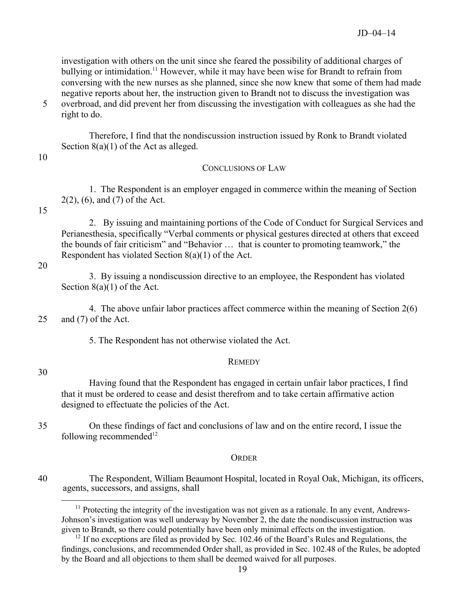investigation with others on the unit since she feared the possibility of additional charges of bullying or intimidation.<sup>[11](#page-18-0)</sup> However, while it may have been wise for Brandt to refrain from conversing with the new nurses as she planned, since she now knew that some of them had made negative reports about her, the instruction given to Brandt not to discuss the investigation was 5 overbroad, and did prevent her from discussing the investigation with colleagues as she had the

right to do.

Therefore, I find that the nondiscussion instruction issued by Ronk to Brandt violated Section 8(a)(1) of the Act as alleged.

10

## CONCLUSIONS OF LAW

1. The Respondent is an employer engaged in commerce within the meaning of Section 2(2), (6), and (7) of the Act.

15

2. By issuing and maintaining portions of the Code of Conduct for Surgical Services and Perianesthesia, specifically "Verbal comments or physical gestures directed at others that exceed the bounds of fair criticism" and "Behavior … that is counter to promoting teamwork," the Respondent has violated Section 8(a)(1) of the Act.

20

3. By issuing a nondiscussion directive to an employee, the Respondent has violated Section 8(a)(1) of the Act.

4. The above unfair labor practices affect commerce within the meaning of Section 2(6) 25 and (7) of the Act.

5. The Respondent has not otherwise violated the Act.

## **REMEDY**

30

 $\overline{a}$ 

Having found that the Respondent has engaged in certain unfair labor practices, I find that it must be ordered to cease and desist therefrom and to take certain affirmative action designed to effectuate the policies of the Act.

35 On these findings of fact and conclusions of law and on the entire record, I issue the following recommended $12$ 

### **ORDER**

<span id="page-18-0"></span>40 The Respondent, William Beaumont Hospital, located in Royal Oak, Michigan, its officers, agents, successors, and assigns, shall

 $11$  Protecting the integrity of the investigation was not given as a rationale. In any event, Andrews-Johnson's investigation was well underway by November 2, the date the nondiscussion instruction was given to Brandt, so there could potentially have been only minimal effects on the investigation.

<span id="page-18-1"></span> $12$  If no exceptions are filed as provided by Sec. 102.46 of the Board's Rules and Regulations, the findings, conclusions, and recommended Order shall, as provided in Sec. 102.48 of the Rules, be adopted by the Board and all objections to them shall be deemed waived for all purposes.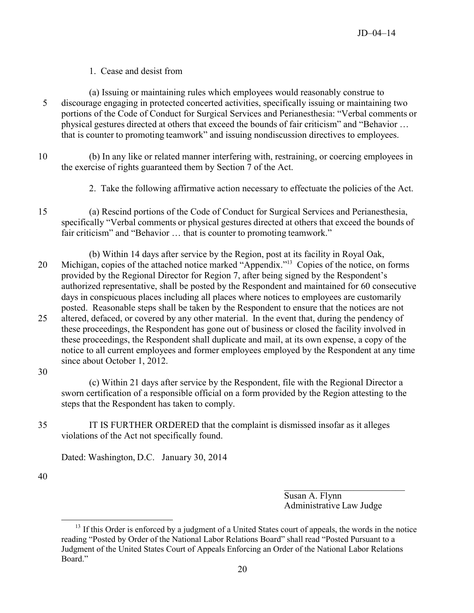## 1. Cease and desist from

- (a) Issuing or maintaining rules which employees would reasonably construe to 5 discourage engaging in protected concerted activities, specifically issuing or maintaining two portions of the Code of Conduct for Surgical Services and Perianesthesia: "Verbal comments or physical gestures directed at others that exceed the bounds of fair criticism" and "Behavior … that is counter to promoting teamwork" and issuing nondiscussion directives to employees.
- 10 (b) In any like or related manner interfering with, restraining, or coercing employees in the exercise of rights guaranteed them by Section 7 of the Act.
	- 2. Take the following affirmative action necessary to effectuate the policies of the Act.
- 15 (a) Rescind portions of the Code of Conduct for Surgical Services and Perianesthesia, specifically "Verbal comments or physical gestures directed at others that exceed the bounds of fair criticism" and "Behavior … that is counter to promoting teamwork."
- (b) Within 14 days after service by the Region, post at its facility in Royal Oak, 20 Michigan, copies of the attached notice marked "Appendix."<sup>[13](#page-19-0)</sup> Copies of the notice, on forms provided by the Regional Director for Region 7, after being signed by the Respondent's authorized representative, shall be posted by the Respondent and maintained for 60 consecutive days in conspicuous places including all places where notices to employees are customarily posted. Reasonable steps shall be taken by the Respondent to ensure that the notices are not 25 altered, defaced, or covered by any other material. In the event that, during the pendency of
- these proceedings, the Respondent has gone out of business or closed the facility involved in these proceedings, the Respondent shall duplicate and mail, at its own expense, a copy of the notice to all current employees and former employees employed by the Respondent at any time since about October 1, 2012.
- 30

(c) Within 21 days after service by the Respondent, file with the Regional Director a sworn certification of a responsible official on a form provided by the Region attesting to the steps that the Respondent has taken to comply.

35 IT IS FURTHER ORDERED that the complaint is dismissed insofar as it alleges violations of the Act not specifically found.

Dated: Washington, D.C. January 30, 2014

40

 $\overline{a}$ 

 $\mathcal{L}_\text{max}$  , where  $\mathcal{L}_\text{max}$  and  $\mathcal{L}_\text{max}$ Susan A. Flynn Administrative Law Judge

<span id="page-19-0"></span> $13$  If this Order is enforced by a judgment of a United States court of appeals, the words in the notice reading "Posted by Order of the National Labor Relations Board" shall read "Posted Pursuant to a Judgment of the United States Court of Appeals Enforcing an Order of the National Labor Relations Board."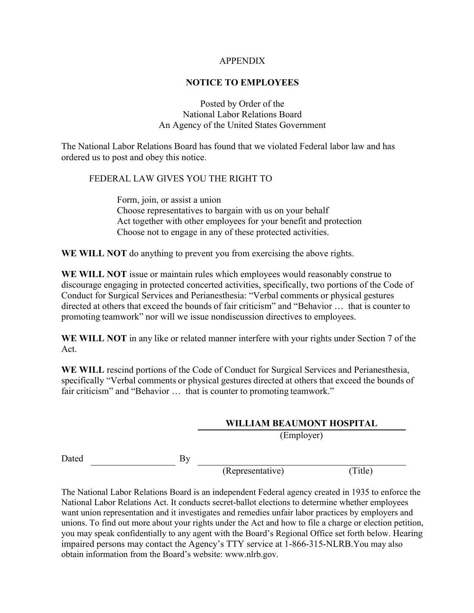#### APPENDIX

### **NOTICE TO EMPLOYEES**

Posted by Order of the National Labor Relations Board An Agency of the United States Government

The National Labor Relations Board has found that we violated Federal labor law and has ordered us to post and obey this notice.

#### FEDERAL LAW GIVES YOU THE RIGHT TO

Form, join, or assist a union Choose representatives to bargain with us on your behalf Act together with other employees for your benefit and protection Choose not to engage in any of these protected activities.

**WE WILL NOT** do anything to prevent you from exercising the above rights.

**WE WILL NOT** issue or maintain rules which employees would reasonably construe to discourage engaging in protected concerted activities, specifically, two portions of the Code of Conduct for Surgical Services and Perianesthesia: "Verbal comments or physical gestures directed at others that exceed the bounds of fair criticism" and "Behavior … that is counter to promoting teamwork" nor will we issue nondiscussion directives to employees.

**WE WILL NOT** in any like or related manner interfere with your rights under Section 7 of the Act.

**WE WILL** rescind portions of the Code of Conduct for Surgical Services and Perianesthesia, specifically "Verbal comments or physical gestures directed at others that exceed the bounds of fair criticism" and "Behavior … that is counter to promoting teamwork."

### **WILLIAM BEAUMONT HOSPITAL** (Employer)

Dated By

(Representative) (Title)

The National Labor Relations Board is an independent Federal agency created in 1935 to enforce the National Labor Relations Act. It conducts secret-ballot elections to determine whether employees want union representation and it investigates and remedies unfair labor practices by employers and unions. To find out more about your rights under the Act and how to file a charge or election petition, you may speak confidentially to any agent with the Board's Regional Office set forth below. Hearing impaired persons may contact the Agency's TTY service at 1-866-315-NLRB.You may also obtain information from the Board's website: www.nlrb.gov.